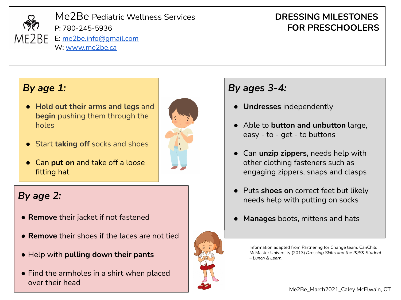

## *By age 1:*

- **Hold out their arms and legs** and **begin** pushing them through the holes
- Start **taking off** socks and shoes
- **Can put on** and take off a loose fitting hat

# *By age 2:*

- **Remove** their jacket if not fastened
- **Remove** their shoes if the laces are not tied
- Help with **pulling down their pants**
- Find the armholes in a shirt when placed over their head



# *By ages 3-4:*

- **Undresses** independently
- Able to **button and unbutton** large, easy - to - get - to buttons
- Can **unzip zippers,** needs help with other clothing fasteners such as engaging zippers, snaps and clasps
- Puts **shoes on** correct feet but likely needs help with putting on socks
- **Manages** boots, mittens and hats

Information adapted from Partnering for Change team, CanChild, McMaster University (2013) *Dressing Skills and the JK/SK Student – Lunch & Learn.* 

Me2Be\_March2021\_Caley McElwain, OT